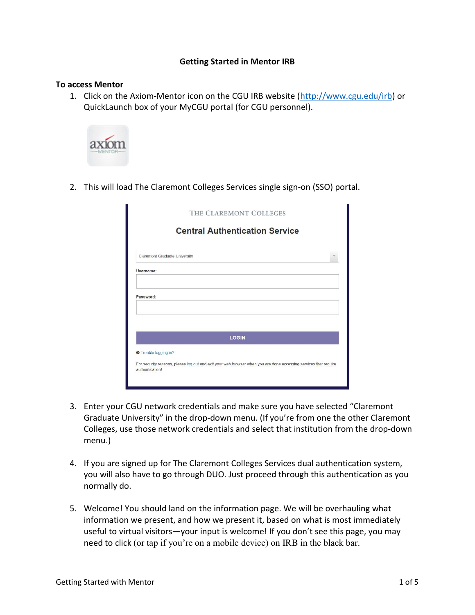#### Getting Started in Mentor IRB

#### To access Mentor

1. Click on the Axiom-Mentor icon on the CGU IRB website (http://www.cgu.edu/irb) or QuickLaunch box of your MyCGU portal (for CGU personnel).



2. This will load The Claremont Colleges Services single sign-on (SSO) portal.

| THE CLAREMONT COLLEGES<br><b>Central Authentication Service</b>                                                                                                     |  |  |  |  |  |  |  |
|---------------------------------------------------------------------------------------------------------------------------------------------------------------------|--|--|--|--|--|--|--|
|                                                                                                                                                                     |  |  |  |  |  |  |  |
| Username:                                                                                                                                                           |  |  |  |  |  |  |  |
| Password:                                                                                                                                                           |  |  |  |  |  |  |  |
| <b>LOGIN</b>                                                                                                                                                        |  |  |  |  |  |  |  |
| <b>O</b> Trouble logging in?<br>For security reasons, please log out and exit your web browser when you are done accessing services that require<br>authentication! |  |  |  |  |  |  |  |

- 3. Enter your CGU network credentials and make sure you have selected "Claremont Graduate University" in the drop-down menu. (If you're from one the other Claremont Colleges, use those network credentials and select that institution from the drop-down menu.)
- 4. If you are signed up for The Claremont Colleges Services dual authentication system, you will also have to go through DUO. Just proceed through this authentication as you normally do.
- 5. Welcome! You should land on the information page. We will be overhauling what information we present, and how we present it, based on what is most immediately useful to virtual visitors—your input is welcome! If you don't see this page, you may need to click (or tap if you're on a mobile device) on IRB in the black bar.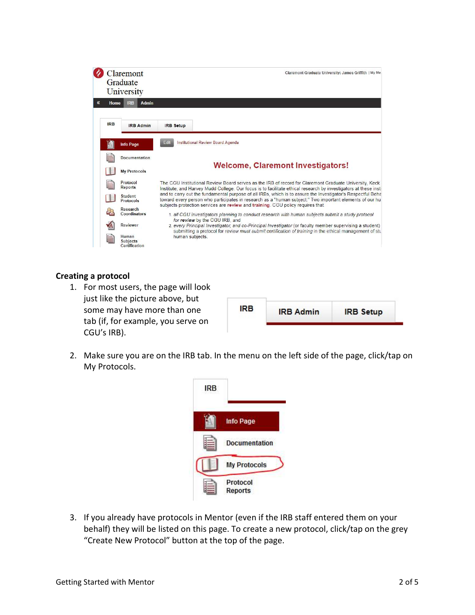

### Creating a protocol

1. For most users, the page will look just like the picture above, but some may have more than one tab (if, for example, you serve on CGU's IRB).

| <b>IRB</b> |                  |                  |
|------------|------------------|------------------|
|            | <b>IRB Admin</b> | <b>IRB</b> Setup |

2. Make sure you are on the IRB tab. In the menu on the left side of the page, click/tap on My Protocols.



3. If you already have protocols in Mentor (even if the IRB staff entered them on your behalf) they will be listed on this page. To create a new protocol, click/tap on the grey "Create New Protocol" button at the top of the page.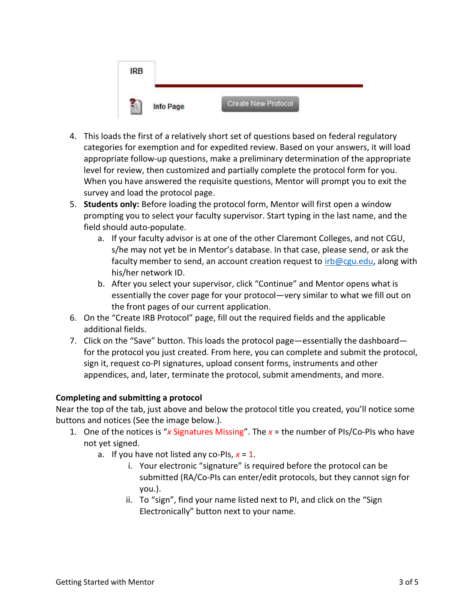

- 4. This loads the first of a relatively short set of questions based on federal regulatory categories for exemption and for expedited review. Based on your answers, it will load appropriate follow-up questions, make a preliminary determination of the appropriate level for review, then customized and partially complete the protocol form for you. When you have answered the requisite questions, Mentor will prompt you to exit the survey and load the protocol page.
- 5. Students only: Before loading the protocol form, Mentor will first open a window prompting you to select your faculty supervisor. Start typing in the last name, and the field should auto-populate.
	- a. If your faculty advisor is at one of the other Claremont Colleges, and not CGU, s/he may not yet be in Mentor's database. In that case, please send, or ask the faculty member to send, an account creation request to  $irb@cgu.edu$ , along with his/her network ID.
	- b. After you select your supervisor, click "Continue" and Mentor opens what is essentially the cover page for your protocol—very similar to what we fill out on the front pages of our current application.
- 6. On the "Create IRB Protocol" page, fill out the required fields and the applicable additional fields.
- 7. Click on the "Save" button. This loads the protocol page—essentially the dashboard for the protocol you just created. From here, you can complete and submit the protocol, sign it, request co-PI signatures, upload consent forms, instruments and other appendices, and, later, terminate the protocol, submit amendments, and more.

# Completing and submitting a protocol

Near the top of the tab, just above and below the protocol title you created, you'll notice some buttons and notices (See the image below.).

- 1. One of the notices is "x Signatures Missing". The  $x =$  the number of PIs/Co-PIs who have not yet signed.
	- a. If you have not listed any co-PIs,  $x = 1$ .
		- i. Your electronic "signature" is required before the protocol can be submitted (RA/Co-PIs can enter/edit protocols, but they cannot sign for you.).
		- ii. To "sign", find your name listed next to PI, and click on the "Sign Electronically" button next to your name.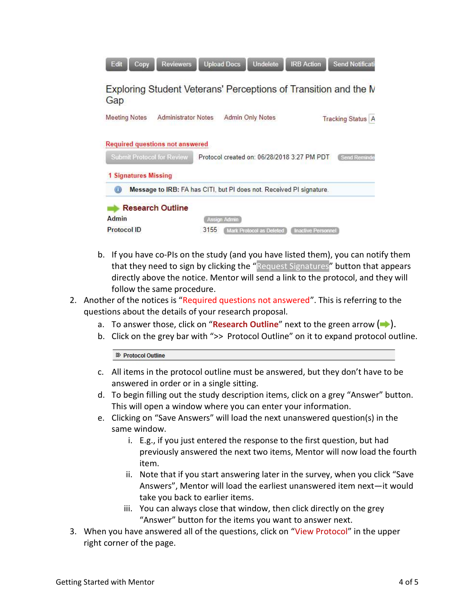| Edit<br>Copy                      | <b>Reviewers</b>                                                     | <b>Upload Docs</b> | <b>Undelete</b>          | <b>IRB Action</b>                           | <b>Send Notificati</b>                                          |
|-----------------------------------|----------------------------------------------------------------------|--------------------|--------------------------|---------------------------------------------|-----------------------------------------------------------------|
| Gap                               |                                                                      |                    |                          |                                             | Exploring Student Veterans' Perceptions of Transition and the N |
| <b>Meeting Notes</b>              | <b>Administrator Notes</b>                                           |                    | <b>Admin Only Notes</b>  |                                             | <b>Tracking Status A</b>                                        |
| <b>Submit Protocol for Review</b> | <b>Required questions not answered</b>                               |                    |                          | Protocol created on: 06/28/2018 3:27 PM PDT | Send Reminder                                                   |
| 1 Signatures Missing              |                                                                      |                    |                          |                                             |                                                                 |
|                                   | Message to IRB: FA has CITI, but PI does not. Received PI signature. |                    |                          |                                             |                                                                 |
|                                   | <b>Research Outline</b>                                              |                    |                          |                                             |                                                                 |
| Admin                             |                                                                      | Assign Admin       |                          |                                             |                                                                 |
| Protocol ID                       |                                                                      | 3155               | Mark Protocol as Deleted | <b>Inactive Personnel</b>                   |                                                                 |

- b. If you have co-PIs on the study (and you have listed them), you can notify them that they need to sign by clicking the "Request Signatures" button that appears directly above the notice. Mentor will send a link to the protocol, and they will follow the same procedure.
- 2. Another of the notices is "Required questions not answered". This is referring to the questions about the details of your research proposal.
	- a. To answer those, click on "Research Outline" next to the green arrow  $( \rightarrow )$ .
	- b. Click on the grey bar with ">> Protocol Outline" on it to expand protocol outline.

<sup>8</sup> Protocol Outline

- c. All items in the protocol outline must be answered, but they don't have to be answered in order or in a single sitting.
- d. To begin filling out the study description items, click on a grey "Answer" button. This will open a window where you can enter your information.
- e. Clicking on "Save Answers" will load the next unanswered question(s) in the same window.
	- i. E.g., if you just entered the response to the first question, but had previously answered the next two items, Mentor will now load the fourth item.
	- ii. Note that if you start answering later in the survey, when you click "Save Answers", Mentor will load the earliest unanswered item next—it would take you back to earlier items.
	- iii. You can always close that window, then click directly on the grey "Answer" button for the items you want to answer next.
- 3. When you have answered all of the questions, click on "View Protocol" in the upper right corner of the page.